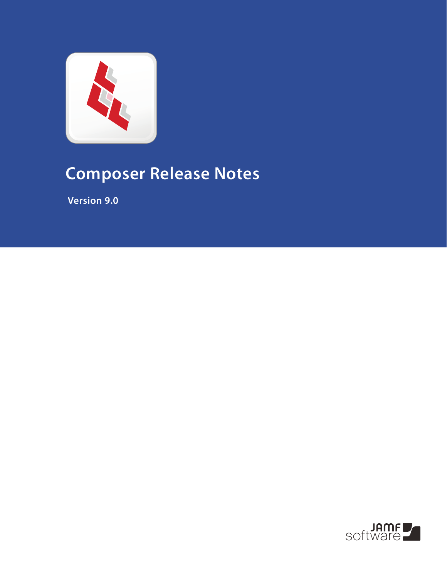

# **Composer Release Notes**

 **Version 9.0**

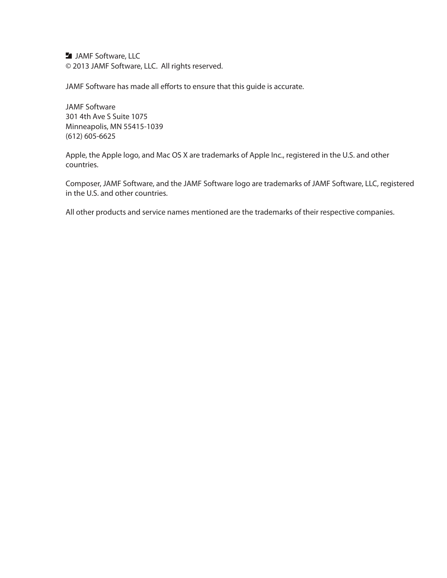**JAMF Software, LLC** © 2013 JAMF Software, LLC. All rights reserved.

JAMF Software has made all efforts to ensure that this guide is accurate.

JAMF Software 301 4th Ave S Suite 1075 Minneapolis, MN 55415-1039 (612) 605-6625

Apple, the Apple logo, and Mac OS X are trademarks of Apple Inc., registered in the U.S. and other countries.

Composer, JAMF Software, and the JAMF Software logo are trademarks of JAMF Software, LLC, registered in the U.S. and other countries.

All other products and service names mentioned are the trademarks of their respective companies.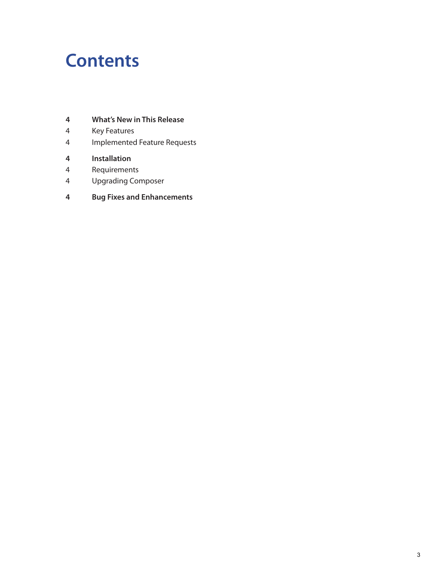### **Contents**

- **What's New in This Release**
- Key Features
- Implemented Feature Requests
- **Installation**
- Requirements
- Upgrading Composer
- **Bug Fixes and Enhancements**